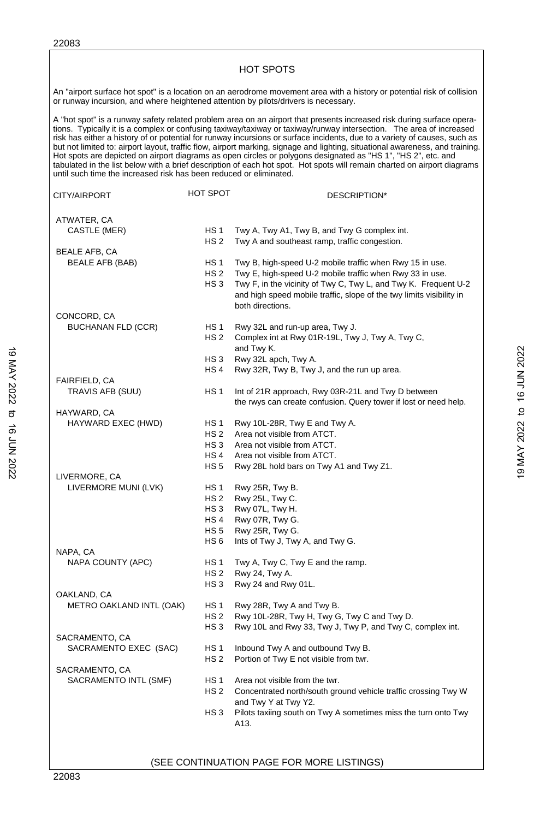ſ

| or runway incursion, and where heightened attention by pilots/drivers is necessary. |                                    | An "airport surface hot spot" is a location on an aerodrome movement area with a history or potential risk of collision                                                                                                                                                                                                                                                                                                                                                                                                                                                                                                                                                                                                                                 |
|-------------------------------------------------------------------------------------|------------------------------------|---------------------------------------------------------------------------------------------------------------------------------------------------------------------------------------------------------------------------------------------------------------------------------------------------------------------------------------------------------------------------------------------------------------------------------------------------------------------------------------------------------------------------------------------------------------------------------------------------------------------------------------------------------------------------------------------------------------------------------------------------------|
| until such time the increased risk has been reduced or eliminated.                  |                                    | A "hot spot" is a runway safety related problem area on an airport that presents increased risk during surface opera-<br>tions. Typically it is a complex or confusing taxiway/taxiway or taxiway/runway intersection. The area of increased<br>risk has either a history of or potential for runway incursions or surface incidents, due to a variety of causes, such as<br>but not limited to: airport layout, traffic flow, airport marking, signage and lighting, situational awareness, and training.<br>Hot spots are depicted on airport diagrams as open circles or polygons designated as "HS 1", "HS 2", etc. and<br>tabulated in the list below with a brief description of each hot spot. Hot spots will remain charted on airport diagrams |
| CITY/AIRPORT                                                                        | HOT SPOT                           | DESCRIPTION*                                                                                                                                                                                                                                                                                                                                                                                                                                                                                                                                                                                                                                                                                                                                            |
| ATWATER, CA                                                                         |                                    |                                                                                                                                                                                                                                                                                                                                                                                                                                                                                                                                                                                                                                                                                                                                                         |
| CASTLE (MER)                                                                        | HS <sub>1</sub><br>HS <sub>2</sub> | Twy A, Twy A1, Twy B, and Twy G complex int.<br>Twy A and southeast ramp, traffic congestion.                                                                                                                                                                                                                                                                                                                                                                                                                                                                                                                                                                                                                                                           |
| <b>BEALE AFB, CA</b>                                                                |                                    |                                                                                                                                                                                                                                                                                                                                                                                                                                                                                                                                                                                                                                                                                                                                                         |
| BEALE AFB (BAB)                                                                     | HS <sub>1</sub>                    | Twy B, high-speed U-2 mobile traffic when Rwy 15 in use.                                                                                                                                                                                                                                                                                                                                                                                                                                                                                                                                                                                                                                                                                                |
|                                                                                     | HS <sub>2</sub>                    | Twy E, high-speed U-2 mobile traffic when Rwy 33 in use.                                                                                                                                                                                                                                                                                                                                                                                                                                                                                                                                                                                                                                                                                                |
|                                                                                     | HS <sub>3</sub>                    | Twy F, in the vicinity of Twy C, Twy L, and Twy K. Frequent U-2                                                                                                                                                                                                                                                                                                                                                                                                                                                                                                                                                                                                                                                                                         |
|                                                                                     |                                    | and high speed mobile traffic, slope of the twy limits visibility in                                                                                                                                                                                                                                                                                                                                                                                                                                                                                                                                                                                                                                                                                    |
|                                                                                     |                                    | both directions.                                                                                                                                                                                                                                                                                                                                                                                                                                                                                                                                                                                                                                                                                                                                        |
| CONCORD, CA                                                                         |                                    |                                                                                                                                                                                                                                                                                                                                                                                                                                                                                                                                                                                                                                                                                                                                                         |
| <b>BUCHANAN FLD (CCR)</b>                                                           | HS <sub>1</sub>                    | Rwy 32L and run-up area, Twy J.                                                                                                                                                                                                                                                                                                                                                                                                                                                                                                                                                                                                                                                                                                                         |
|                                                                                     | HS <sub>2</sub>                    | Complex int at Rwy 01R-19L, Twy J, Twy A, Twy C,                                                                                                                                                                                                                                                                                                                                                                                                                                                                                                                                                                                                                                                                                                        |
|                                                                                     |                                    | and Twy K.                                                                                                                                                                                                                                                                                                                                                                                                                                                                                                                                                                                                                                                                                                                                              |
|                                                                                     | HS <sub>3</sub>                    | Rwy 32L apch, Twy A.                                                                                                                                                                                                                                                                                                                                                                                                                                                                                                                                                                                                                                                                                                                                    |
|                                                                                     | HS 4                               | Rwy 32R, Twy B, Twy J, and the run up area.                                                                                                                                                                                                                                                                                                                                                                                                                                                                                                                                                                                                                                                                                                             |
| FAIRFIELD, CA                                                                       |                                    |                                                                                                                                                                                                                                                                                                                                                                                                                                                                                                                                                                                                                                                                                                                                                         |
| TRAVIS AFB (SUU)                                                                    | HS <sub>1</sub>                    | Int of 21R approach, Rwy 03R-21L and Twy D between                                                                                                                                                                                                                                                                                                                                                                                                                                                                                                                                                                                                                                                                                                      |
|                                                                                     |                                    | the rwys can create confusion. Query tower if lost or need help.                                                                                                                                                                                                                                                                                                                                                                                                                                                                                                                                                                                                                                                                                        |
| HAYWARD, CA                                                                         |                                    |                                                                                                                                                                                                                                                                                                                                                                                                                                                                                                                                                                                                                                                                                                                                                         |
| HAYWARD EXEC (HWD)                                                                  | HS <sub>1</sub>                    | Rwy 10L-28R, Twy E and Twy A.                                                                                                                                                                                                                                                                                                                                                                                                                                                                                                                                                                                                                                                                                                                           |
|                                                                                     | HS <sub>2</sub><br>HS <sub>3</sub> | Area not visible from ATCT.<br>Area not visible from ATCT.                                                                                                                                                                                                                                                                                                                                                                                                                                                                                                                                                                                                                                                                                              |
|                                                                                     | HS 4                               | Area not visible from ATCT.                                                                                                                                                                                                                                                                                                                                                                                                                                                                                                                                                                                                                                                                                                                             |
|                                                                                     | <b>HS 5</b>                        | Rwy 28L hold bars on Twy A1 and Twy Z1.                                                                                                                                                                                                                                                                                                                                                                                                                                                                                                                                                                                                                                                                                                                 |
| LIVERMORE, CA                                                                       |                                    |                                                                                                                                                                                                                                                                                                                                                                                                                                                                                                                                                                                                                                                                                                                                                         |
| LIVERMORE MUNI (LVK)                                                                | HS <sub>1</sub>                    | Rwy 25R, Twy B.                                                                                                                                                                                                                                                                                                                                                                                                                                                                                                                                                                                                                                                                                                                                         |
|                                                                                     | HS <sub>2</sub>                    | Rwy 25L, Twy C.                                                                                                                                                                                                                                                                                                                                                                                                                                                                                                                                                                                                                                                                                                                                         |
|                                                                                     | HS 3                               | Rwy 07L, Twy H.                                                                                                                                                                                                                                                                                                                                                                                                                                                                                                                                                                                                                                                                                                                                         |
|                                                                                     | HS <sub>4</sub>                    | Rwy 07R, Twy G.                                                                                                                                                                                                                                                                                                                                                                                                                                                                                                                                                                                                                                                                                                                                         |
|                                                                                     | HS 5                               | Rwy 25R, Twy G.                                                                                                                                                                                                                                                                                                                                                                                                                                                                                                                                                                                                                                                                                                                                         |
|                                                                                     | HS 6                               | Ints of Twy J, Twy A, and Twy G.                                                                                                                                                                                                                                                                                                                                                                                                                                                                                                                                                                                                                                                                                                                        |
| NAPA, CA                                                                            |                                    |                                                                                                                                                                                                                                                                                                                                                                                                                                                                                                                                                                                                                                                                                                                                                         |
| NAPA COUNTY (APC)                                                                   | HS <sub>1</sub>                    | Twy A, Twy C, Twy E and the ramp.                                                                                                                                                                                                                                                                                                                                                                                                                                                                                                                                                                                                                                                                                                                       |
|                                                                                     | HS <sub>2</sub>                    | Rwy 24, Twy A.                                                                                                                                                                                                                                                                                                                                                                                                                                                                                                                                                                                                                                                                                                                                          |
|                                                                                     | HS <sub>3</sub>                    | Rwy 24 and Rwy 01L.                                                                                                                                                                                                                                                                                                                                                                                                                                                                                                                                                                                                                                                                                                                                     |
| OAKLAND, CA                                                                         |                                    |                                                                                                                                                                                                                                                                                                                                                                                                                                                                                                                                                                                                                                                                                                                                                         |
| METRO OAKLAND INTL (OAK)                                                            | HS <sub>1</sub>                    | Rwy 28R, Twy A and Twy B.                                                                                                                                                                                                                                                                                                                                                                                                                                                                                                                                                                                                                                                                                                                               |
|                                                                                     | HS 2                               | Rwy 10L-28R, Twy H, Twy G, Twy C and Twy D.                                                                                                                                                                                                                                                                                                                                                                                                                                                                                                                                                                                                                                                                                                             |
|                                                                                     | HS <sub>3</sub>                    | Rwy 10L and Rwy 33, Twy J, Twy P, and Twy C, complex int.                                                                                                                                                                                                                                                                                                                                                                                                                                                                                                                                                                                                                                                                                               |
| SACRAMENTO, CA                                                                      | HS <sub>1</sub>                    |                                                                                                                                                                                                                                                                                                                                                                                                                                                                                                                                                                                                                                                                                                                                                         |
| SACRAMENTO EXEC (SAC)                                                               |                                    | Inbound Twy A and outbound Twy B.                                                                                                                                                                                                                                                                                                                                                                                                                                                                                                                                                                                                                                                                                                                       |
|                                                                                     | HS 2                               | Portion of Twy E not visible from twr.                                                                                                                                                                                                                                                                                                                                                                                                                                                                                                                                                                                                                                                                                                                  |
| SACRAMENTO, CA                                                                      | HS 1                               | Area not visible from the twr.                                                                                                                                                                                                                                                                                                                                                                                                                                                                                                                                                                                                                                                                                                                          |
| SACRAMENTO INTL (SMF)                                                               | HS <sub>2</sub>                    |                                                                                                                                                                                                                                                                                                                                                                                                                                                                                                                                                                                                                                                                                                                                                         |
|                                                                                     |                                    | Concentrated north/south ground vehicle traffic crossing Twy W<br>and Twy Y at Twy Y2.                                                                                                                                                                                                                                                                                                                                                                                                                                                                                                                                                                                                                                                                  |
|                                                                                     | HS <sub>3</sub>                    | Pilots taxiing south on Twy A sometimes miss the turn onto Twy                                                                                                                                                                                                                                                                                                                                                                                                                                                                                                                                                                                                                                                                                          |
|                                                                                     |                                    |                                                                                                                                                                                                                                                                                                                                                                                                                                                                                                                                                                                                                                                                                                                                                         |

(SEE CONTINUATION PAGE FOR MORE LISTINGS)